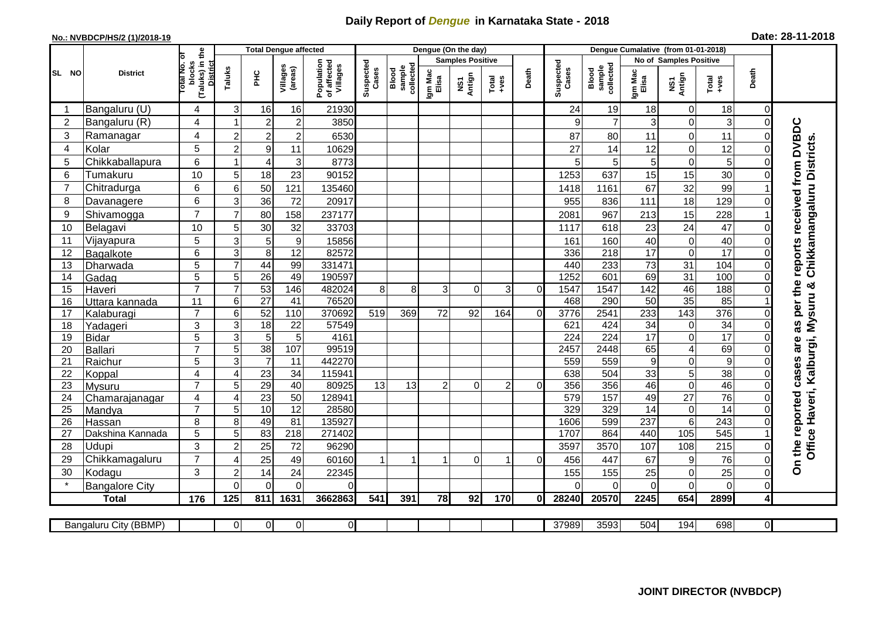## **Daily Report of** *Dengue* **in Karnataka State - 2018**

## **No.: NVBDCP/HS/2 (1)/2018-19 Date: 28-11-2018**

|                | <b>District</b>              |                                                       | <b>Total Dengue affected</b> |                 |                     |                                       |                    |                              |                         | Dengue (On the day) |                  |              |                    |                              |                        |                         |                      |                      |                                   |
|----------------|------------------------------|-------------------------------------------------------|------------------------------|-----------------|---------------------|---------------------------------------|--------------------|------------------------------|-------------------------|---------------------|------------------|--------------|--------------------|------------------------------|------------------------|-------------------------|----------------------|----------------------|-----------------------------------|
|                |                              |                                                       |                              |                 |                     | Population<br>of affected<br>Villages | Suspected<br>Cases |                              | <b>Samples Positive</b> |                     |                  |              |                    |                              | No of Samples Positive |                         |                      |                      |                                   |
| SL NO          |                              | (Taluks) in the<br>District<br>Total No. of<br>blocks | Taluks                       | Ξ               | Villages<br>(areas) |                                       |                    | sample<br>collected<br>Blood | Igm Mac<br>Elisa        | NS1<br>Antign       | $Tota$<br>$+ves$ | Death        | Suspected<br>Cases | collected<br>Blood<br>sample | Igm Mac<br>Elisa       | NS1<br>Antign           | Total<br>+ves        | Death                |                                   |
|                | Bangaluru (U)                | 4                                                     | 3                            | 16              | 16                  | 21930                                 |                    |                              |                         |                     |                  |              | 24                 | 19                           | 18                     | $\mathbf 0$             | 18                   | $\Omega$             |                                   |
| $\overline{2}$ | Bangaluru (R)                | 4                                                     |                              | $\overline{2}$  | $\overline{c}$      | 3850                                  |                    |                              |                         |                     |                  |              | 9                  | $\overline{7}$               | 3                      | $\mathbf 0$             | 3                    | $\Omega$             |                                   |
| 3              | Ramanagar                    | 4                                                     | $\overline{2}$               | $\overline{c}$  | $\overline{c}$      | 6530                                  |                    |                              |                         |                     |                  |              | 87                 | 80                           | 11                     | $\overline{0}$          | 11                   | $\Omega$             | reports received from DVBDC       |
| 4              | Kolar                        | 5                                                     | $\overline{c}$               | $9\,$           | 11                  | 10629                                 |                    |                              |                         |                     |                  |              | 27                 | 14                           | 12                     | 0                       | 12                   | $\Omega$             | Chikkamangaluru Districts.        |
| 5              | Chikkaballapura              | 6                                                     |                              | $\overline{4}$  | 3                   | 8773                                  |                    |                              |                         |                     |                  |              | 5                  | 5                            | 5                      | $\mathbf 0$             | $\mathbf 5$          | $\Omega$             |                                   |
| 6              | Tumakuru                     | 10                                                    | 5                            | 18              | 23                  | 90152                                 |                    |                              |                         |                     |                  |              | 1253               | 637                          | 15                     | 15                      | 30                   | $\Omega$             |                                   |
| $\overline{7}$ | Chitradurga                  | 6                                                     | 6                            | 50              | 121                 | 135460                                |                    |                              |                         |                     |                  |              | 1418               | 1161                         | 67                     | 32                      | 99                   |                      |                                   |
| 8              | Davanagere                   | 6                                                     | 3                            | 36              | 72                  | 20917                                 |                    |                              |                         |                     |                  |              | 955                | 836                          | 111                    | 18                      | 129                  |                      |                                   |
| 9              | Shivamogga                   | $\overline{7}$                                        | $\overline{7}$               | 80              | 158                 | 237177                                |                    |                              |                         |                     |                  |              | 2081               | 967                          | 213                    | 15                      | 228                  |                      |                                   |
| 10             | Belagavi                     | 10                                                    | 5                            | 30              | 32                  | 33703                                 |                    |                              |                         |                     |                  |              | 1117               | 618                          | 23                     | 24                      | 47                   | $\Omega$             |                                   |
| 11             | Vijayapura                   | 5                                                     | 3                            | 5               | $\boldsymbol{9}$    | 15856                                 |                    |                              |                         |                     |                  |              | 161                | 160                          | 40                     | $\mathbf 0$             | 40                   | $\Omega$             |                                   |
| 12             | Bagalkote                    | 6                                                     | $\mathbf{3}$                 | 8               | 12                  | 82572                                 |                    |                              |                         |                     |                  |              | 336                | 218                          | 17                     | $\mathbf 0$             | 17                   | $\Omega$             |                                   |
| 13             | Dharwada                     | 5                                                     | $\overline{7}$               | 44              | 99                  | 331471                                |                    |                              |                         |                     |                  |              | 440                | 233                          | 73                     | $\overline{31}$         | 104                  | $\Omega$             |                                   |
| 14             | Gadag                        | $\overline{5}$                                        | 5                            | 26              | 49                  | 190597                                |                    |                              |                         |                     |                  |              | 1252               | 601                          | 69                     | 31                      | 100                  | $\Omega$             |                                   |
| 15             | Haveri                       | $\overline{7}$                                        | $\overline{7}$               | 53              | 146                 | 482024                                | 8                  | 8                            | 3                       | $\Omega$            | 3                | $\Omega$     | 1547               | 1547                         | 142                    | 46                      | 188                  | $\Omega$             | as per the                        |
| 16             | Uttara kannada               | 11                                                    | 6                            | $\overline{27}$ | 41                  | 76520                                 |                    |                              |                         |                     |                  |              | 468                | 290                          | 50                     | $\overline{35}$         | 85                   |                      |                                   |
| 17             | Kalaburagi                   | $\overline{7}$                                        | 6                            | 52              | 110                 | 370692                                | 519                | 369                          | 72                      | 92                  | 164              | $\Omega$     | 3776               | 2541                         | 233                    | 143                     | 376                  | 0                    |                                   |
| 18             | Yadageri                     | 3                                                     | 3                            | 18              | 22                  | 57549                                 |                    |                              |                         |                     |                  |              | 621                | 424                          | 34                     | $\mathbf 0$             | $\overline{34}$      | $\Omega$             |                                   |
| 19             | Bidar                        | $\overline{5}$                                        | 3                            | $\overline{5}$  | 5                   | 4161                                  |                    |                              |                         |                     |                  |              | $\overline{224}$   | $\overline{224}$             | 17                     | $\overline{0}$          | 17                   | $\Omega$             | are                               |
| 20             | Ballari                      | $\overline{7}$                                        | 5                            | $\overline{38}$ | 107                 | 99519                                 |                    |                              |                         |                     |                  |              | 2457               | 2448                         | 65                     | $\overline{\mathbf{4}}$ | 69                   | $\Omega$             |                                   |
| 21<br>22       | Raichur                      | $\overline{5}$<br>4                                   | 3                            | $\overline{7}$  | 11<br>34            | 442270<br>115941                      |                    |                              |                         |                     |                  |              | 559<br>638         | 559<br>504                   | 9<br>33                | $\overline{0}$          | $\overline{9}$<br>38 | $\Omega$<br>$\Omega$ | cases                             |
| 23             | Koppal                       | $\overline{7}$                                        | $\overline{4}$<br>5          | 23<br>29        | 40                  | 80925                                 | 13                 | 13                           | $\overline{2}$          | $\Omega$            | 2                | O            | 356                | 356                          | 46                     | 5<br>$\overline{0}$     | 46                   | $\Omega$             |                                   |
| 24             | Mysuru<br>Chamarajanagar     | $\overline{4}$                                        | $\overline{4}$               | $\overline{23}$ | 50                  | 12894 <sup>-</sup>                    |                    |                              |                         |                     |                  |              | 579                | 157                          | 49                     | $\overline{27}$         | 76                   | $\Omega$             |                                   |
| 25             | Mandya                       | $\overline{7}$                                        | 5                            | 10              | $\overline{12}$     | 28580                                 |                    |                              |                         |                     |                  |              | 329                | 329                          | 14                     | $\boldsymbol{0}$        | 14                   | $\Omega$             |                                   |
| 26             | Hassan                       | 8                                                     | 8                            | 49              | 81                  | 135927                                |                    |                              |                         |                     |                  |              | 1606               | 599                          | 237                    | $\overline{6}$          | $\overline{243}$     | $\Omega$             |                                   |
| 27             | Dakshina Kannada             | 5                                                     | 5                            | $\overline{83}$ | 218                 | 271402                                |                    |                              |                         |                     |                  |              | 1707               | 864                          | 440                    | 105                     | 545                  |                      |                                   |
| 28             | Udupi                        | 3                                                     | $\overline{2}$               | 25              | 72                  | 96290                                 |                    |                              |                         |                     |                  |              | 3597               | 3570                         | 107                    | 108                     | 215                  | $\Omega$             | Office Haveri, Kalburgi, Mysuru & |
| 29             | Chikkamagaluru               | $\overline{7}$                                        | 4                            | 25              | 49                  | 60160                                 |                    | 1                            |                         | $\Omega$            | -1               | $\Omega$     | 456                | 447                          | 67                     | 9                       | 76                   | $\Omega$             | On the reported                   |
| 30             | Kodagu                       | 3                                                     | $\overline{2}$               | 14              | 24                  | 22345                                 |                    |                              |                         |                     |                  |              | 155                | 155                          | 25                     | $\mathbf 0$             | 25                   | 0                    |                                   |
|                | <b>Bangalore City</b>        |                                                       | $\Omega$                     | $\Omega$        | $\Omega$            | 0                                     |                    |                              |                         |                     |                  |              | ∩                  | $\Omega$                     | $\Omega$               | $\mathbf 0$             | $\mathbf 0$          | $\Omega$             |                                   |
|                | <b>Total</b>                 | 176                                                   | 125                          | 811             | 1631                | 3662863                               | 541                | 391                          | 78                      | 92                  | 170              | $\mathbf{0}$ | 28240              | 20570                        | 2245                   | 654                     | 2899                 | 4                    |                                   |
|                |                              |                                                       |                              |                 |                     |                                       |                    |                              |                         |                     |                  |              |                    |                              |                        |                         |                      |                      |                                   |
|                | <b>Bangaluru City (BBMP)</b> |                                                       | $\overline{0}$               | $\overline{0}$  | 0                   | $\overline{0}$                        |                    |                              |                         |                     |                  |              | 37989              | 3593                         | 504                    | 194                     | 698                  | $\overline{0}$       |                                   |